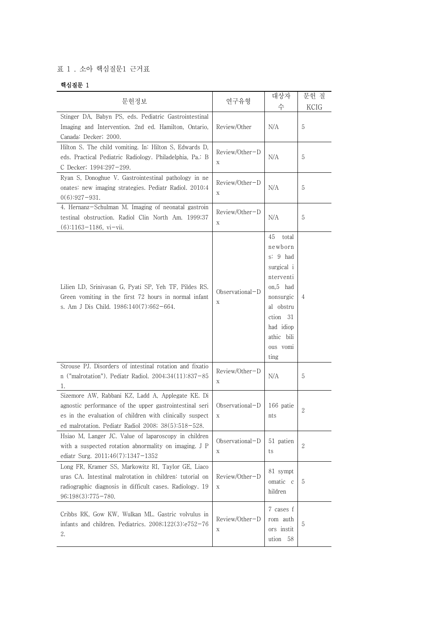## 표 1 . 소아 핵심질문1 근거표

## 핵심질문 1

| 문헌정보                                                                                                                                                                                                                            | 연구유형                           | 대상자<br>수                                                                                                                                                       | 문헌 질<br>KCIG |
|---------------------------------------------------------------------------------------------------------------------------------------------------------------------------------------------------------------------------------|--------------------------------|----------------------------------------------------------------------------------------------------------------------------------------------------------------|--------------|
| Stinger DA, Babyn PS, eds. Pediatric Gastrointestinal<br>Imaging and Intervention. 2nd ed. Hamilton, Ontario,<br>Canada: Decker; 2000.                                                                                          | Review/Other                   | N/A                                                                                                                                                            | 5            |
| Hilton S. The child vomiting. In: Hilton S, Edwards D,<br>eds. Practical Pediatric Radiology. Philadelphia, Pa.: B<br>C Decker; 1994:297-299.                                                                                   | Review/Other-D<br>$\mathbf X$  | N/A                                                                                                                                                            | 5            |
| Ryan S, Donoghue V. Gastrointestinal pathology in ne<br>onates: new imaging strategies. Pediatr Radiol. 2010;4<br>$0(6):927-931.$                                                                                               | Review/Other-D<br>$\mathbf X$  | N/A                                                                                                                                                            | 5            |
| 4. Hernanz-Schulman M. Imaging of neonatal gastroin<br>testinal obstruction. Radiol Clin North Am. 1999;37<br>$(6)$ :1163-1186, vi-vii.                                                                                         | Review/Other-D<br>Χ            | N/A                                                                                                                                                            | 5            |
| Lilien LD, Srinivasan G, Pyati SP, Yeh TF, Pildes RS.<br>Green vomiting in the first 72 hours in normal infant<br>s. Am J Dis Child. 1986;140(7):662-664.                                                                       | Observational-D<br>$\mathbf X$ | 45<br>total<br>newborn<br>s: 9 had<br>surgical i<br>nterventi<br>on,5 had<br>nonsurgic<br>al obstru<br>ction 31<br>had idiop<br>athic bili<br>ous vomi<br>tıng | 4            |
| Strouse PJ. Disorders of intestinal rotation and fixatio<br>n ("malrotation"). Pediatr Radiol. 2004;34(11):837-85<br>1.                                                                                                         | Review/Other-D<br>$\mathbf X$  | N/A                                                                                                                                                            | 5            |
| Sizemore AW, Rabbani KZ, Ladd A, Applegate KE. Di<br>agnostic performance of the upper gastrointestinal seri<br>es in the evaluation of children with clinically suspect<br>ed malrotation. Pediatr Radiol 2008; 38(5):518-528. | Observational-D<br>$\mathbf X$ | 166 patie<br>nts                                                                                                                                               | 2            |
| Hsiao M, Langer JC. Value of laparoscopy in children<br>with a suspected rotation abnormality on imaging. J P<br>ediatr Surg. 2011;46(7):1347-1352                                                                              | Observational-D<br>Χ           | 51 patien<br>ts                                                                                                                                                | $\mathbf{2}$ |
| Long FR, Kramer SS, Markowitz RI, Taylor GE, Liaco<br>uras CA. Intestinal malrotation in children: tutorial on<br>radiographic diagnosis in difficult cases. Radiology. 19<br>$96;198(3):775-780.$                              | Review/Other-D<br>$\mathbf X$  | 81 sympt<br>omatic c<br>hildren                                                                                                                                | 5            |
| Cribbs RK, Gow KW, Wulkan ML. Gastric volvulus in<br>infants and children. Pediatrics. 2008;122(3):e752-76<br>2.                                                                                                                | Review/Other-D<br>Х            | 7 cases f<br>rom auth<br>ors instit<br>ution 58                                                                                                                | 5            |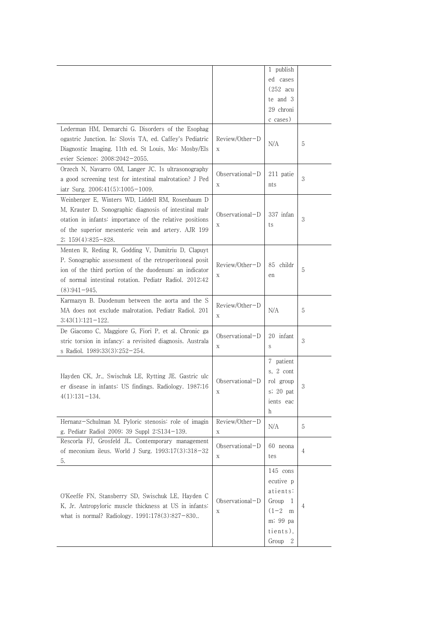|                                                                                                                                                                                                                                                        |                        | 1 publish<br>ed cases<br>$(252 \text{ acu})$<br>te and 3<br>29 chroni<br>c cases)                       |   |
|--------------------------------------------------------------------------------------------------------------------------------------------------------------------------------------------------------------------------------------------------------|------------------------|---------------------------------------------------------------------------------------------------------|---|
| Lederman HM, Demarchi G. Disorders of the Esophag<br>ogastric Junction. In: Slovis TA, ed. Caffey's Pediatric<br>Diagnostic Imaging. 11th ed. St Louis, Mo: Mosby/Els<br>evier Science; 2008:2042-2055.                                                | Review/Other-D<br>X    | N/A                                                                                                     | 5 |
| Orzech N, Navarro OM, Langer JC. Is ultrasonography<br>a good screening test for intestinal malrotation? J Ped<br>iatr Surg. $2006;41(5):1005-1009$ .                                                                                                  | Observational-D<br>Χ   | 211 patie<br>nts                                                                                        | 3 |
| Weinberger E, Winters WD, Liddell RM, Rosenbaum D<br>M, Krauter D. Sonographic diagnosis of intestinal malr<br>otation in infants: importance of the relative positions<br>of the superior mesenteric vein and artery. AJR 199<br>$2; 159(4):825-828.$ | Observational-D<br>Χ   | 337 infan<br>ts                                                                                         | 3 |
| Menten R, Reding R, Godding V, Dumitriu D, Clapuyt<br>P. Sonographic assessment of the retroperitoneal posit<br>ion of the third portion of the duodenum: an indicator<br>of normal intestinal rotation. Pediatr Radiol. 2012;42<br>$(8):941-945.$     | Review/Other-D<br>Χ    | 85 childr<br>en                                                                                         | 5 |
| Karmazyn B. Duodenum between the aorta and the S<br>MA does not exclude malrotation. Pediatr Radiol. 201<br>$3;43(1):121-122.$                                                                                                                         | Review/Other-D<br>X    | N/A                                                                                                     | 5 |
| De Giacomo C, Maggiore G, Fiori P, et al. Chronic ga<br>stric torsion in infancy: a revisited diagnosis. Australa<br>s Radiol. 1989;33(3):252-254.                                                                                                     | Observational-D<br>X   | 20 infant<br>S                                                                                          | 3 |
| Hayden CK, Jr., Swischuk LE, Rytting JE. Gastric ulc<br>er disease in infants: US findings. Radiology. 1987;16<br>$4(1):131-134.$                                                                                                                      | Observational-D<br>Χ   | 7 patient<br>s, 2 cont<br>rol group<br>s; 20 pat<br>ients eac<br>h                                      | 3 |
| Hernanz-Schulman M. Pyloric stenosis: role of imagin<br>g. Pediatr Radiol 2009; 39 Suppl 2:S134-139.                                                                                                                                                   | Review/Other-D<br>X    | N/A                                                                                                     | 5 |
| Rescorla FJ, Grosfeld JL. Contemporary management<br>of meconium ileus. World J Surg. 1993;17(3):318-32<br>5.                                                                                                                                          | Observational-D<br>X   | 60 neona<br>tes                                                                                         | 4 |
| O'Keeffe FN, Stansberry SD, Swischuk LE, Hayden C<br>K, Jr. Antropyloric muscle thickness at US in infants:<br>what is normal? Radiology. 1991;178(3):827-830                                                                                          | $Observational-D$<br>Χ | 145 cons<br>ecutive p<br>atients:<br>Group<br>1<br>$(1 - 2)$<br>m<br>m; 99 pa<br>tients),<br>Group<br>2 | 4 |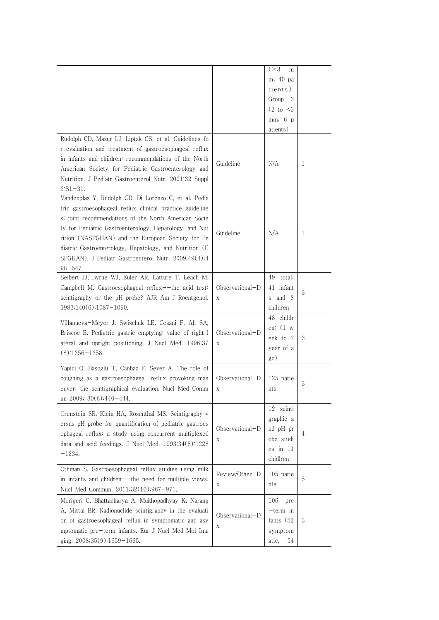| Rudolph CD, Mazur LJ, Liptak GS, et al. Guidelines fo<br>r evaluation and treatment of gastroesophageal reflux<br>in infants and children: recommendations of the North<br>American Society for Pediatric Gastroenterology and<br>Nutrition. J Pediatr Gastroenterol Nutr. 2001;32 Suppl                                                                                                                                              | Guideline            | $( \geq 3)$<br>m<br>m; 40 pa<br>tients),<br>Group 3<br>$(2 \text{ to } < 3)$<br>mm; 6 p<br>atients)<br>N/A | 1 |
|---------------------------------------------------------------------------------------------------------------------------------------------------------------------------------------------------------------------------------------------------------------------------------------------------------------------------------------------------------------------------------------------------------------------------------------|----------------------|------------------------------------------------------------------------------------------------------------|---|
| $2:S1-31.$<br>Vandenplas Y, Rudolph CD, Di Lorenzo C, et al. Pedia<br>tric gastroesophageal reflux clinical practice guideline<br>s: joint recommendations of the North American Socie<br>ty for Pediatric Gastroenterology, Hepatology, and Nut<br>rition (NASPGHAN) and the European Society for Pe<br>diatric Gastroenterology, Hepatology, and Nutrition (E<br>SPGHAN). J Pediatr Gastroenterol Nutr. 2009;49(4):4<br>$98 - 547.$ | Guideline            | N/A                                                                                                        | 1 |
| Seibert JJ, Byrne WJ, Euler AR, Latture T, Leach M,<br>Campbell M. Gastroesophageal reflux--the acid test:<br>scintigraphy or the pH probe? AJR Am J Roentgenol.<br>1983;140(6):1087-1090.                                                                                                                                                                                                                                            | Observational-D<br>X | 49 total:<br>41 infant<br>s and 8<br>children                                                              | 3 |
| Villanueva-Meyer J, Swischuk LE, Cesani F, Ali SA,<br>Briscoe E. Pediatric gastric emptying: value of right 1<br>ateral and upright positioning. J Nucl Med. 1996;37<br>$(8):1356-1358.$                                                                                                                                                                                                                                              | Observational-D<br>Х | 48 childr<br>en: $(1 \t{w})$<br>eek to 2<br>year of a<br>ge)                                               | 3 |
| Yapici O, Basoglu T, Canbaz F, Sever A. The role of<br>coughing as a gastroesophageal-reflux provoking man<br>euver: the scintigraphical evaluation. Nucl Med Comm<br>un 2009; $30(6):440-444$ .                                                                                                                                                                                                                                      | Observational-D      | 125 patie<br>nts                                                                                           | 3 |
| Orenstein SR, Klein HA, Rosenthal MS. Scintigraphy v<br>ersus pH probe for quantification of pediatric gastroes<br>ophageal reflux: a study using concurrent multiplexed<br>data and acid feedings. J Nucl Med. 1993;34(8):1228<br>$-1234.$                                                                                                                                                                                           | Observational-D<br>Χ | 12 scinti<br>graphic a<br>nd pH pr<br>obe studi<br>es in 11<br>chidlren                                    | 4 |
| Othman S. Gastroesophageal reflux studies using milk<br>in infants and children--the need for multiple views.<br>Nucl Med Commun. 2011;32(10):967-971.                                                                                                                                                                                                                                                                                | Review/Other-D<br>X  | 105 patie<br>nts                                                                                           | 5 |
| Morigeri C, Bhattacharya A, Mukhopadhyay K, Narang<br>A, Mittal BR. Radionuclide scintigraphy in the evaluati<br>on of gastroesophageal reflux in symptomatic and asy<br>mptomatic pre-term infants. Eur J Nucl Med Mol Ima<br>ging. $2008;35(9):1659-1665$ .                                                                                                                                                                         | Observational-D<br>Χ | 106<br>pre<br>$-$ term in<br>fants $(52)$<br>symptom<br>atic,<br>54                                        | 3 |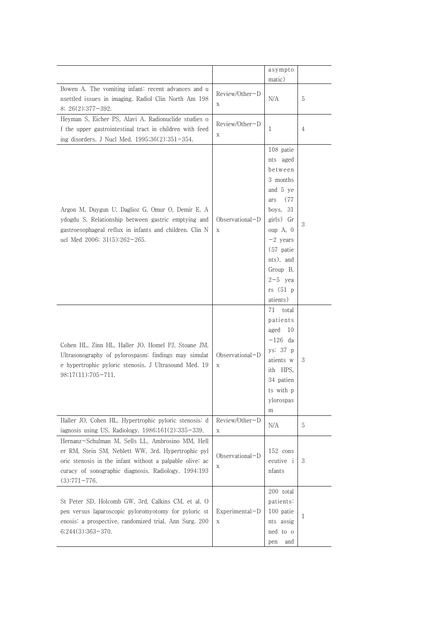|                                                                                                                                                                                                                                              |                                  | asympto                                                                                                                                                                                               |   |
|----------------------------------------------------------------------------------------------------------------------------------------------------------------------------------------------------------------------------------------------|----------------------------------|-------------------------------------------------------------------------------------------------------------------------------------------------------------------------------------------------------|---|
|                                                                                                                                                                                                                                              |                                  | matic)                                                                                                                                                                                                |   |
| Bowen A. The vomiting infant: recent advances and u<br>nsettled issues in imaging. Radiol Clin North Am 198<br>$8; 26(2):377-392.$                                                                                                           | Review/Other-D<br>X              | N/A                                                                                                                                                                                                   | 5 |
| Heyman S, Eicher PS, Alavi A. Radionuclide studies o<br>f the upper gastrointestinal tract in children with feed<br>ing disorders. J Nucl Med. 1995;36(2):351-354.                                                                           | Review/Other-D<br>X              | 1                                                                                                                                                                                                     | 4 |
| Argon M, Duygun U, Daglioz G, Omur O, Demir E, A<br>ydogdu S. Relationship between gastric emptying and<br>gastroesophageal reflux in infants and children. Clin N<br>ucl Med 2006; 31(5):262-265.                                           | $Observational-D$<br>$\mathbf X$ | 108 patie<br>nts aged<br>between<br>3 months<br>and 5 ye<br>(77<br>ars<br>boys, $31$<br>girls) Gr<br>oup A, 0<br>$-2$ years<br>(57 patie<br>nts), and<br>Group B,<br>$2-5$ yea<br>rs(51 p<br>atients) | 3 |
| Cohen HL, Zinn HL, Haller JO, Homel PJ, Stoane JM.<br>Ultrasonography of pylorospasm: findings may simulat<br>e hypertrophic pyloric stenosis. J Ultrasound Med. 19<br>$98;17(11):705-711.$                                                  | Observational-D<br>$\mathbf X$   | 71<br>total<br>patients<br>10<br>aged<br>$-126$ da<br>ys: 37 p<br>atients w<br>ith HPS,<br>34 patien<br>ts with p<br>ylorospas<br>m                                                                   | 3 |
| Haller JO, Cohen HL. Hypertrophic pyloric stenosis: d<br>iagnosis using US. Radiology. 1986;161(2):335-339.                                                                                                                                  | Review/Other-D<br>X              | N/A                                                                                                                                                                                                   | 5 |
| Hernanz-Schulman M, Sells LL, Ambrosino MM, Hell<br>er RM, Stein SM, Neblett WW, 3rd. Hypertrophic pyl<br>oric stenosis in the infant without a palpable olive: ac<br>curacy of sonographic diagnosis. Radiology. 1994;193<br>$(3):771-776.$ | Observational-D<br>Χ             | 152 cons<br>ecutive <i>i</i><br>nfants                                                                                                                                                                | 3 |
| St Peter SD, Holcomb GW, 3rd, Calkins CM, et al. O<br>pen versus laparoscopic pyloromyotomy for pyloric st<br>enosis: a prospective, randomized trial. Ann Surg. 200<br>$6;244(3):363-370.$                                                  | $Experimental-D$<br>$\mathbf X$  | 200 total<br>patients:<br>100 patie<br>nts assig<br>ned to o<br>and<br>pen                                                                                                                            | 1 |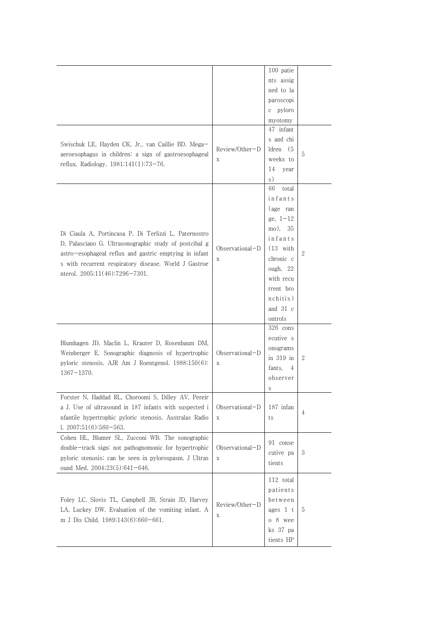|                                                         |                   | 100 patie           |                |
|---------------------------------------------------------|-------------------|---------------------|----------------|
|                                                         |                   | nts assig           |                |
|                                                         |                   | ned to la           |                |
|                                                         |                   | paroscopi           |                |
|                                                         |                   | c pyloro            |                |
|                                                         |                   | myotomy             |                |
|                                                         |                   | 47 infant           |                |
|                                                         |                   | s and chi           |                |
| Swischuk LE, Hayden CK, Jr., van Caillie BD. Mega-      | Review/Other-D    | $ldren$ $(5$        |                |
| aeroesophagus in children: a sign of gastroesophageal   | X                 | weeks to            | 5              |
| reflux. Radiology. 1981;141(1):73-76.                   |                   | 14<br>year          |                |
|                                                         |                   | s)                  |                |
|                                                         |                   |                     |                |
|                                                         |                   | 66<br>total         |                |
|                                                         |                   | infants             |                |
|                                                         |                   | (age ran            |                |
|                                                         |                   | ge, $1-12$          |                |
| Di Ciaula A, Portincasa P, Di Terlizzi L, Paternostro   |                   | mo), 35             |                |
| D, Palasciano G. Ultrasonographic study of postcibal g  |                   | infants             |                |
| astro-esophageal reflux and gastric emptying in infant  | Observational-D   | $(13 \text{ with})$ | 2              |
| s with recurrent respiratory disease. World J Gastroe   | X                 | chronic c           |                |
|                                                         |                   | ough, $22$          |                |
| nterol. $2005;11(46):7296-7301$ .                       |                   | with recu           |                |
|                                                         |                   | rrent bro           |                |
|                                                         |                   | nchitis)            |                |
|                                                         |                   | and $31$ c          |                |
|                                                         |                   | ontrols             |                |
|                                                         |                   | $326$ cons          |                |
|                                                         |                   | ecutive s           |                |
| Blumhagen JD, Maclin L, Krauter D, Rosenbaum DM,        |                   | onograms            |                |
| Weinberger E. Sonographic diagnosis of hypertrophic     | $Observational-D$ | in $319$ in         | $\mathbf{2}$   |
| pyloric stenosis. AJR Am J Roentgenol. 1988;150(6):     | X                 |                     |                |
| $1367 - 1370.$                                          |                   | fants,<br>4         |                |
|                                                         |                   | observer            |                |
|                                                         |                   | S                   |                |
| Forster N, Haddad RL, Choroomi S, Dilley AV, Pereir     |                   |                     |                |
| a J. Use of ultrasound in 187 infants with suspected i  | Observational-D   | 187 infan           | $\overline{4}$ |
| nfantile hypertrophic pyloric stenosis. Australas Radio | Χ                 | ts                  |                |
| $1.2007;51(6):560-563.$                                 |                   |                     |                |
| Cohen HL, Blumer SL, Zucconi WB. The sonographic        |                   | 91 conse            |                |
| double-track sign: not pathognomonic for hypertrophic   | Observational-D   |                     |                |
| pyloric stenosis; can be seen in pylorospasm. J Ultras  | $\mathbf X$       | cutive pa           | 3              |
| ound Med. $2004;23(5):641-646$ .                        |                   | tients              |                |
|                                                         |                   | 112 total           |                |
|                                                         |                   |                     |                |
|                                                         |                   | patients            |                |
| Foley LC, Slovis TL, Campbell JB, Strain JD, Harvey     | Review/Other-D    | between             |                |
| LA, Luckey DW. Evaluation of the vomiting infant. A     | Χ                 | ages $1$ t          | 5              |
| m J Dis Child. 1989;143(6):660-661.                     |                   | o 8 wee             |                |
|                                                         |                   | ks 37 pa            |                |
|                                                         |                   | tients HP           |                |
|                                                         |                   |                     |                |